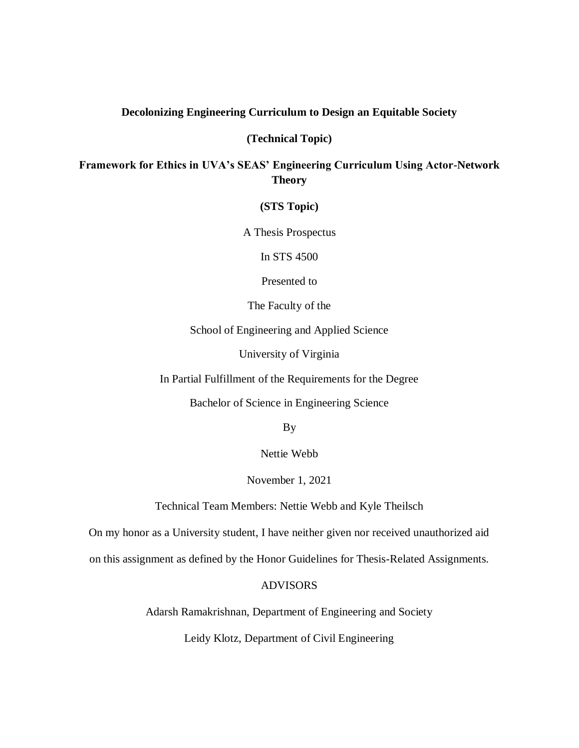#### **Decolonizing Engineering Curriculum to Design an Equitable Society**

**(Technical Topic)**

**Framework for Ethics in UVA's SEAS' Engineering Curriculum Using Actor-Network Theory** 

**(STS Topic)**

A Thesis Prospectus

In STS 4500

Presented to

The Faculty of the

School of Engineering and Applied Science

University of Virginia

In Partial Fulfillment of the Requirements for the Degree

Bachelor of Science in Engineering Science

By

Nettie Webb

November 1, 2021

Technical Team Members: Nettie Webb and Kyle Theilsch

On my honor as a University student, I have neither given nor received unauthorized aid

on this assignment as defined by the Honor Guidelines for Thesis-Related Assignments.

## ADVISORS

Adarsh Ramakrishnan, Department of Engineering and Society

Leidy Klotz, Department of Civil Engineering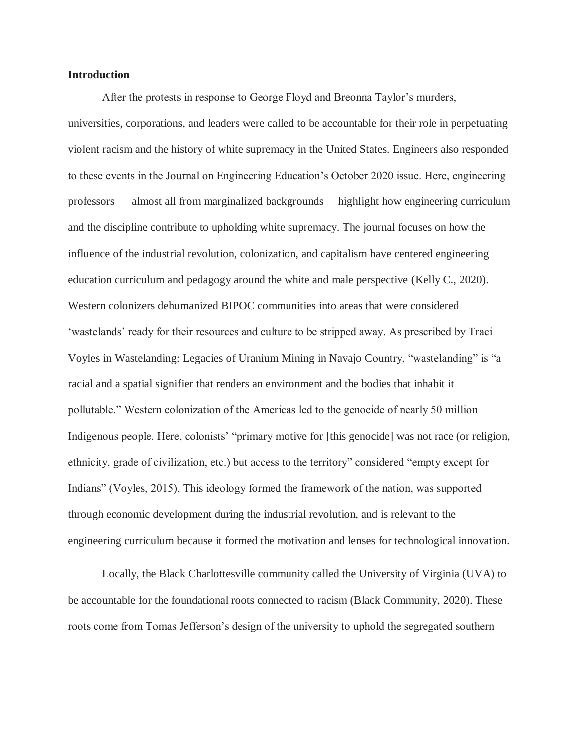#### **Introduction**

After the protests in response to George Floyd and Breonna Taylor's murders,

universities, corporations, and leaders were called to be accountable for their role in perpetuating violent racism and the history of white supremacy in the United States. Engineers also responded to these events in the Journal on Engineering Education's October 2020 issue. Here, engineering professors — almost all from marginalized backgrounds— highlight how engineering curriculum and the discipline contribute to upholding white supremacy. The journal focuses on how the influence of the industrial revolution, colonization, and capitalism have centered engineering education curriculum and pedagogy around the white and male perspective (Kelly C., 2020). Western colonizers dehumanized BIPOC communities into areas that were considered 'wastelands' ready for their resources and culture to be stripped away. As prescribed by Traci Voyles in Wastelanding: Legacies of Uranium Mining in Navajo Country, "wastelanding" is "a racial and a spatial signifier that renders an environment and the bodies that inhabit it pollutable." Western colonization of the Americas led to the genocide of nearly 50 million Indigenous people. Here, colonists' "primary motive for [this genocide] was not race (or religion, ethnicity, grade of civilization, etc.) but access to the territory" considered "empty except for Indians" (Voyles, 2015). This ideology formed the framework of the nation, was supported through economic development during the industrial revolution, and is relevant to the engineering curriculum because it formed the motivation and lenses for technological innovation.

Locally, the Black Charlottesville community called the University of Virginia (UVA) to be accountable for the foundational roots connected to racism (Black Community, 2020). These roots come from Tomas Jefferson's design of the university to uphold the segregated southern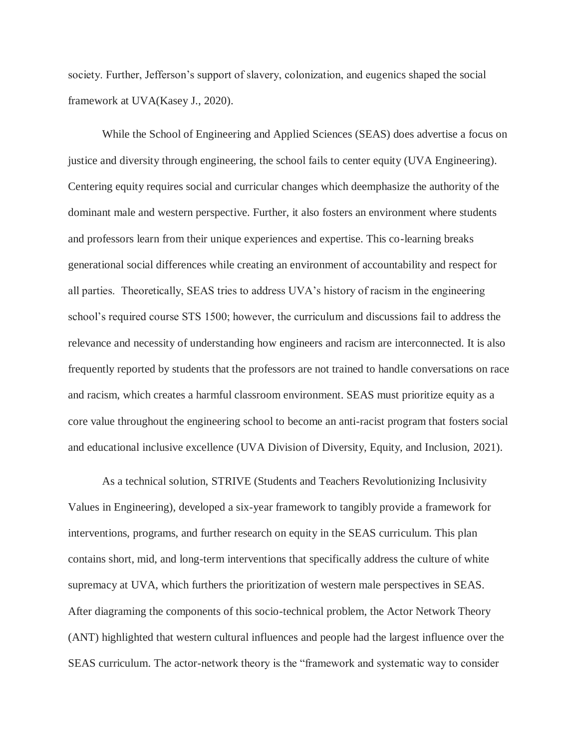society. Further, Jefferson's support of slavery, colonization, and eugenics shaped the social framework at UVA(Kasey J., 2020).

While the School of Engineering and Applied Sciences (SEAS) does advertise a focus on justice and diversity through engineering, the school fails to center equity (UVA Engineering). Centering equity requires social and curricular changes which deemphasize the authority of the dominant male and western perspective. Further, it also fosters an environment where students and professors learn from their unique experiences and expertise. This co-learning breaks generational social differences while creating an environment of accountability and respect for all parties. Theoretically, SEAS tries to address UVA's history of racism in the engineering school's required course STS 1500; however, the curriculum and discussions fail to address the relevance and necessity of understanding how engineers and racism are interconnected. It is also frequently reported by students that the professors are not trained to handle conversations on race and racism, which creates a harmful classroom environment. SEAS must prioritize equity as a core value throughout the engineering school to become an anti-racist program that fosters social and educational inclusive excellence (UVA Division of Diversity, Equity, and Inclusion, 2021).

As a technical solution, STRIVE (Students and Teachers Revolutionizing Inclusivity Values in Engineering), developed a six-year framework to tangibly provide a framework for interventions, programs, and further research on equity in the SEAS curriculum. This plan contains short, mid, and long-term interventions that specifically address the culture of white supremacy at UVA, which furthers the prioritization of western male perspectives in SEAS. After diagraming the components of this socio-technical problem, the Actor Network Theory (ANT) highlighted that western cultural influences and people had the largest influence over the SEAS curriculum. The actor-network theory is the "framework and systematic way to consider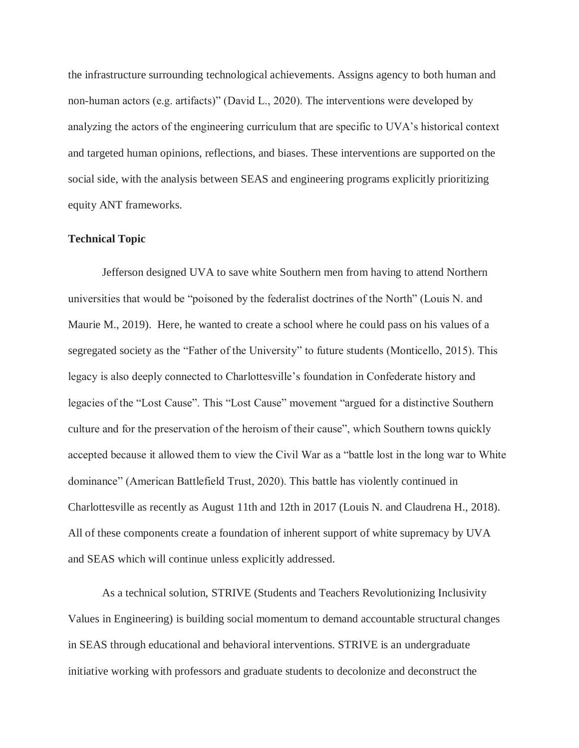the infrastructure surrounding technological achievements. Assigns agency to both human and non-human actors (e.g. artifacts)" (David L., 2020). The interventions were developed by analyzing the actors of the engineering curriculum that are specific to UVA's historical context and targeted human opinions, reflections, and biases. These interventions are supported on the social side, with the analysis between SEAS and engineering programs explicitly prioritizing equity ANT frameworks.

#### **Technical Topic**

Jefferson designed UVA to save white Southern men from having to attend Northern universities that would be "poisoned by the federalist doctrines of the North" (Louis N. and Maurie M., 2019). Here, he wanted to create a school where he could pass on his values of a segregated society as the "Father of the University" to future students (Monticello, 2015). This legacy is also deeply connected to Charlottesville's foundation in Confederate history and legacies of the "Lost Cause". This "Lost Cause" movement "argued for a distinctive Southern culture and for the preservation of the heroism of their cause", which Southern towns quickly accepted because it allowed them to view the Civil War as a "battle lost in the long war to White dominance" (American Battlefield Trust, 2020). This battle has violently continued in Charlottesville as recently as August 11th and 12th in 2017 (Louis N. and Claudrena H., 2018). All of these components create a foundation of inherent support of white supremacy by UVA and SEAS which will continue unless explicitly addressed.

As a technical solution, STRIVE (Students and Teachers Revolutionizing Inclusivity Values in Engineering) is building social momentum to demand accountable structural changes in SEAS through educational and behavioral interventions. STRIVE is an undergraduate initiative working with professors and graduate students to decolonize and deconstruct the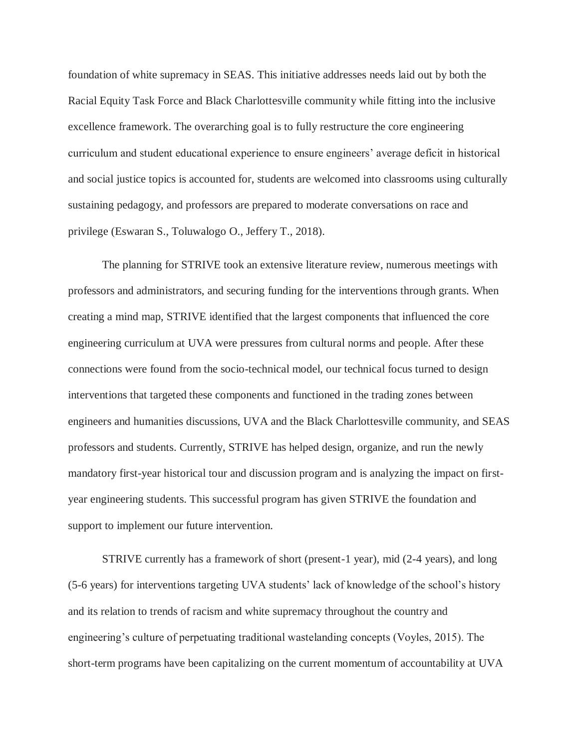foundation of white supremacy in SEAS. This initiative addresses needs laid out by both the Racial Equity Task Force and Black Charlottesville community while fitting into the inclusive excellence framework. The overarching goal is to fully restructure the core engineering curriculum and student educational experience to ensure engineers' average deficit in historical and social justice topics is accounted for, students are welcomed into classrooms using culturally sustaining pedagogy, and professors are prepared to moderate conversations on race and privilege (Eswaran S., Toluwalogo O., Jeffery T., 2018).

The planning for STRIVE took an extensive literature review, numerous meetings with professors and administrators, and securing funding for the interventions through grants. When creating a mind map, STRIVE identified that the largest components that influenced the core engineering curriculum at UVA were pressures from cultural norms and people. After these connections were found from the socio-technical model, our technical focus turned to design interventions that targeted these components and functioned in the trading zones between engineers and humanities discussions, UVA and the Black Charlottesville community, and SEAS professors and students. Currently, STRIVE has helped design, organize, and run the newly mandatory first-year historical tour and discussion program and is analyzing the impact on firstyear engineering students. This successful program has given STRIVE the foundation and support to implement our future intervention.

STRIVE currently has a framework of short (present-1 year), mid (2-4 years), and long (5-6 years) for interventions targeting UVA students' lack of knowledge of the school's history and its relation to trends of racism and white supremacy throughout the country and engineering's culture of perpetuating traditional wastelanding concepts (Voyles, 2015). The short-term programs have been capitalizing on the current momentum of accountability at UVA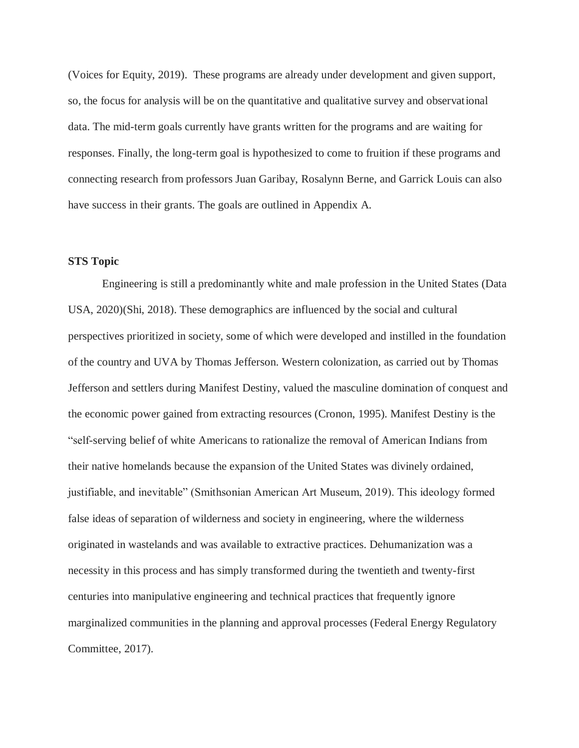(Voices for Equity, 2019). These programs are already under development and given support, so, the focus for analysis will be on the quantitative and qualitative survey and observational data. The mid-term goals currently have grants written for the programs and are waiting for responses. Finally, the long-term goal is hypothesized to come to fruition if these programs and connecting research from professors Juan Garibay, Rosalynn Berne, and Garrick Louis can also have success in their grants. The goals are outlined in Appendix A.

# **STS Topic**

Engineering is still a predominantly white and male profession in the United States (Data USA, 2020)(Shi, 2018). These demographics are influenced by the social and cultural perspectives prioritized in society, some of which were developed and instilled in the foundation of the country and UVA by Thomas Jefferson. Western colonization, as carried out by Thomas Jefferson and settlers during Manifest Destiny, valued the masculine domination of conquest and the economic power gained from extracting resources (Cronon, 1995). Manifest Destiny is the "self-serving belief of white Americans to rationalize the removal of American Indians from their native homelands because the expansion of the United States was divinely ordained, justifiable, and inevitable" (Smithsonian American Art Museum, 2019). This ideology formed false ideas of separation of wilderness and society in engineering, where the wilderness originated in wastelands and was available to extractive practices. Dehumanization was a necessity in this process and has simply transformed during the twentieth and twenty-first centuries into manipulative engineering and technical practices that frequently ignore marginalized communities in the planning and approval processes (Federal Energy Regulatory Committee, 2017).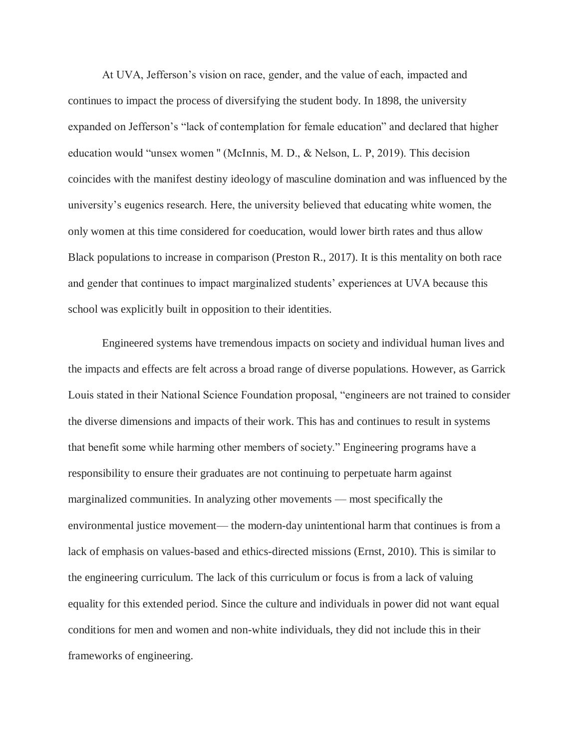At UVA, Jefferson's vision on race, gender, and the value of each, impacted and continues to impact the process of diversifying the student body. In 1898, the university expanded on Jefferson's "lack of contemplation for female education" and declared that higher education would "unsex women '' (McInnis, M. D., & Nelson, L. P, 2019). This decision coincides with the manifest destiny ideology of masculine domination and was influenced by the university's eugenics research. Here, the university believed that educating white women, the only women at this time considered for coeducation, would lower birth rates and thus allow Black populations to increase in comparison (Preston R., 2017). It is this mentality on both race and gender that continues to impact marginalized students' experiences at UVA because this school was explicitly built in opposition to their identities.

Engineered systems have tremendous impacts on society and individual human lives and the impacts and effects are felt across a broad range of diverse populations. However, as Garrick Louis stated in their National Science Foundation proposal, "engineers are not trained to consider the diverse dimensions and impacts of their work. This has and continues to result in systems that benefit some while harming other members of society." Engineering programs have a responsibility to ensure their graduates are not continuing to perpetuate harm against marginalized communities. In analyzing other movements — most specifically the environmental justice movement— the modern-day unintentional harm that continues is from a lack of emphasis on values-based and ethics-directed missions (Ernst, 2010). This is similar to the engineering curriculum. The lack of this curriculum or focus is from a lack of valuing equality for this extended period. Since the culture and individuals in power did not want equal conditions for men and women and non-white individuals, they did not include this in their frameworks of engineering.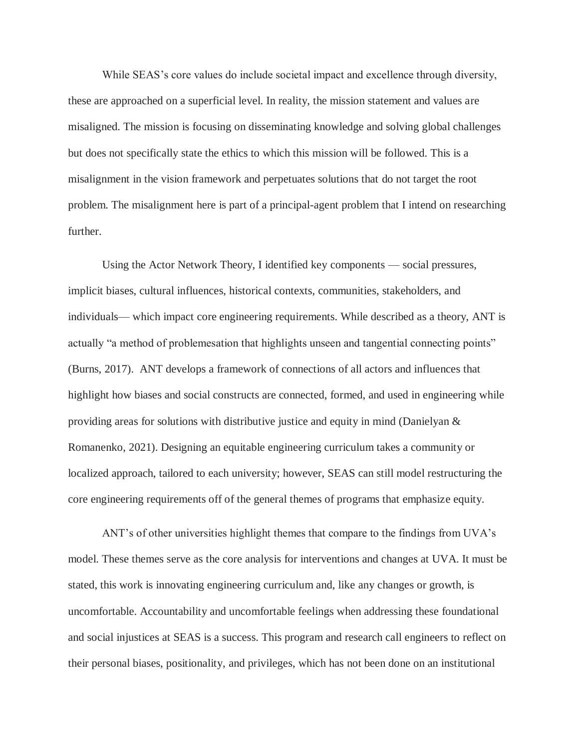While SEAS's core values do include societal impact and excellence through diversity, these are approached on a superficial level. In reality, the mission statement and values are misaligned. The mission is focusing on disseminating knowledge and solving global challenges but does not specifically state the ethics to which this mission will be followed. This is a misalignment in the vision framework and perpetuates solutions that do not target the root problem. The misalignment here is part of a principal-agent problem that I intend on researching further.

Using the Actor Network Theory, I identified key components — social pressures, implicit biases, cultural influences, historical contexts, communities, stakeholders, and individuals— which impact core engineering requirements. While described as a theory, ANT is actually "a method of problemesation that highlights unseen and tangential connecting points" (Burns, 2017). ANT develops a framework of connections of all actors and influences that highlight how biases and social constructs are connected, formed, and used in engineering while providing areas for solutions with distributive justice and equity in mind (Danielyan & Romanenko, 2021). Designing an equitable engineering curriculum takes a community or localized approach, tailored to each university; however, SEAS can still model restructuring the core engineering requirements off of the general themes of programs that emphasize equity.

ANT's of other universities highlight themes that compare to the findings from UVA's model. These themes serve as the core analysis for interventions and changes at UVA. It must be stated, this work is innovating engineering curriculum and, like any changes or growth, is uncomfortable. Accountability and uncomfortable feelings when addressing these foundational and social injustices at SEAS is a success. This program and research call engineers to reflect on their personal biases, positionality, and privileges, which has not been done on an institutional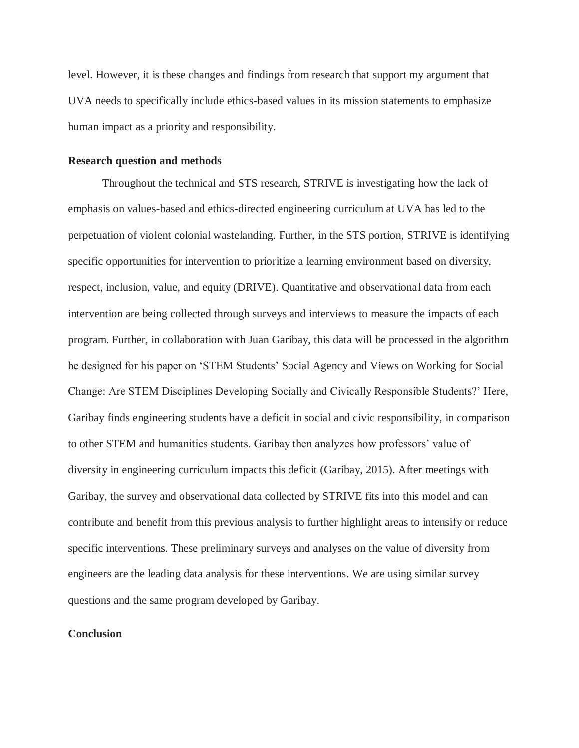level. However, it is these changes and findings from research that support my argument that UVA needs to specifically include ethics-based values in its mission statements to emphasize human impact as a priority and responsibility.

#### **Research question and methods**

Throughout the technical and STS research, STRIVE is investigating how the lack of emphasis on values-based and ethics-directed engineering curriculum at UVA has led to the perpetuation of violent colonial wastelanding. Further, in the STS portion, STRIVE is identifying specific opportunities for intervention to prioritize a learning environment based on diversity, respect, inclusion, value, and equity (DRIVE). Quantitative and observational data from each intervention are being collected through surveys and interviews to measure the impacts of each program. Further, in collaboration with Juan Garibay, this data will be processed in the algorithm he designed for his paper on 'STEM Students' Social Agency and Views on Working for Social Change: Are STEM Disciplines Developing Socially and Civically Responsible Students?' Here, Garibay finds engineering students have a deficit in social and civic responsibility, in comparison to other STEM and humanities students. Garibay then analyzes how professors' value of diversity in engineering curriculum impacts this deficit (Garibay, 2015). After meetings with Garibay, the survey and observational data collected by STRIVE fits into this model and can contribute and benefit from this previous analysis to further highlight areas to intensify or reduce specific interventions. These preliminary surveys and analyses on the value of diversity from engineers are the leading data analysis for these interventions. We are using similar survey questions and the same program developed by Garibay.

## **Conclusion**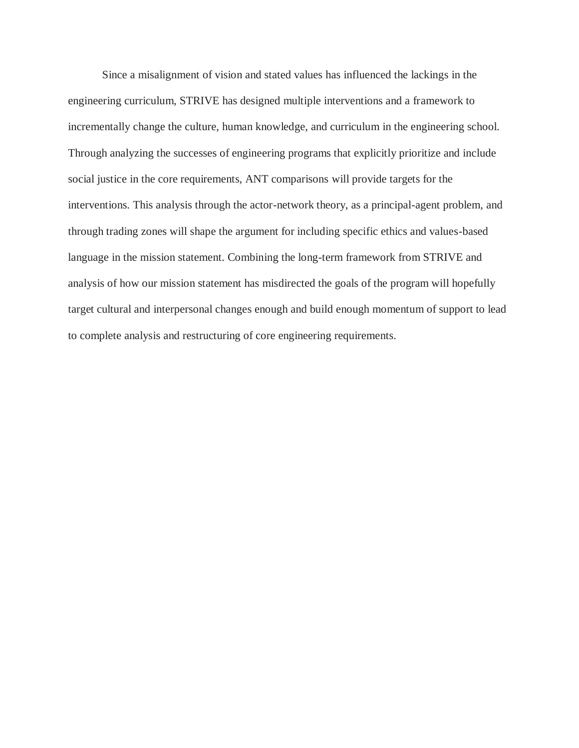Since a misalignment of vision and stated values has influenced the lackings in the engineering curriculum, STRIVE has designed multiple interventions and a framework to incrementally change the culture, human knowledge, and curriculum in the engineering school. Through analyzing the successes of engineering programs that explicitly prioritize and include social justice in the core requirements, ANT comparisons will provide targets for the interventions. This analysis through the actor-network theory, as a principal-agent problem, and through trading zones will shape the argument for including specific ethics and values-based language in the mission statement. Combining the long-term framework from STRIVE and analysis of how our mission statement has misdirected the goals of the program will hopefully target cultural and interpersonal changes enough and build enough momentum of support to lead to complete analysis and restructuring of core engineering requirements.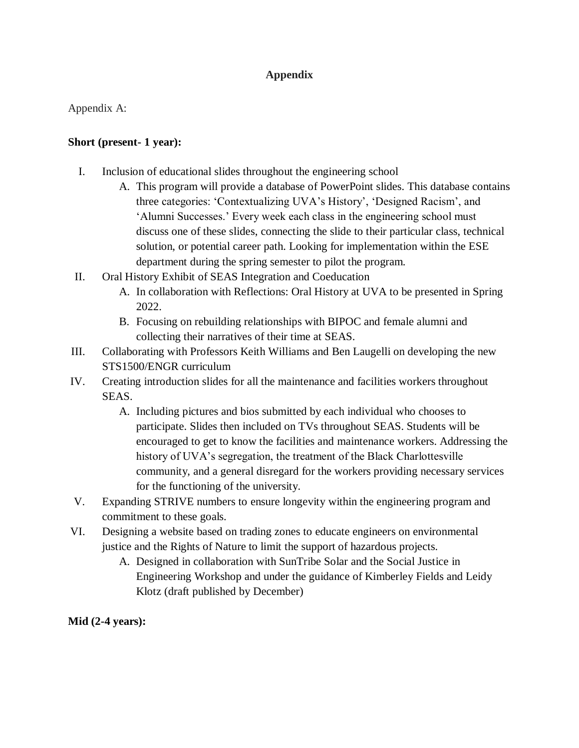# **Appendix**

Appendix A:

# **Short (present- 1 year):**

- I. Inclusion of educational slides throughout the engineering school
	- A. This program will provide a database of PowerPoint slides. This database contains three categories: 'Contextualizing UVA's History', 'Designed Racism', and 'Alumni Successes.' Every week each class in the engineering school must discuss one of these slides, connecting the slide to their particular class, technical solution, or potential career path. Looking for implementation within the ESE department during the spring semester to pilot the program.
- II. Oral History Exhibit of SEAS Integration and Coeducation
	- A. In collaboration with Reflections: Oral History at UVA to be presented in Spring 2022.
	- B. Focusing on rebuilding relationships with BIPOC and female alumni and collecting their narratives of their time at SEAS.
- III. Collaborating with Professors Keith Williams and Ben Laugelli on developing the new STS1500/ENGR curriculum
- IV. Creating introduction slides for all the maintenance and facilities workers throughout SEAS.
	- A. Including pictures and bios submitted by each individual who chooses to participate. Slides then included on TVs throughout SEAS. Students will be encouraged to get to know the facilities and maintenance workers. Addressing the history of UVA's segregation, the treatment of the Black Charlottesville community, and a general disregard for the workers providing necessary services for the functioning of the university.
- V. Expanding STRIVE numbers to ensure longevity within the engineering program and commitment to these goals.
- VI. Designing a website based on trading zones to educate engineers on environmental justice and the Rights of Nature to limit the support of hazardous projects.
	- A. Designed in collaboration with SunTribe Solar and the Social Justice in Engineering Workshop and under the guidance of Kimberley Fields and Leidy Klotz (draft published by December)

**Mid (2-4 years):**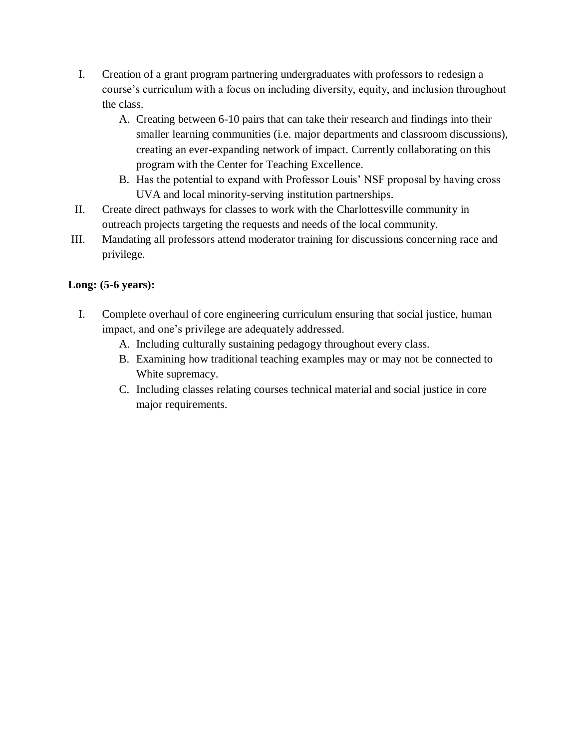- I. Creation of a grant program partnering undergraduates with professors to redesign a course's curriculum with a focus on including diversity, equity, and inclusion throughout the class.
	- A. Creating between 6-10 pairs that can take their research and findings into their smaller learning communities (i.e. major departments and classroom discussions), creating an ever-expanding network of impact. Currently collaborating on this program with the Center for Teaching Excellence.
	- B. Has the potential to expand with Professor Louis' NSF proposal by having cross UVA and local minority-serving institution partnerships.
- II. Create direct pathways for classes to work with the Charlottesville community in outreach projects targeting the requests and needs of the local community.
- III. Mandating all professors attend moderator training for discussions concerning race and privilege.

# **Long: (5-6 years):**

- I. Complete overhaul of core engineering curriculum ensuring that social justice, human impact, and one's privilege are adequately addressed.
	- A. Including culturally sustaining pedagogy throughout every class.
	- B. Examining how traditional teaching examples may or may not be connected to White supremacy.
	- C. Including classes relating courses technical material and social justice in core major requirements.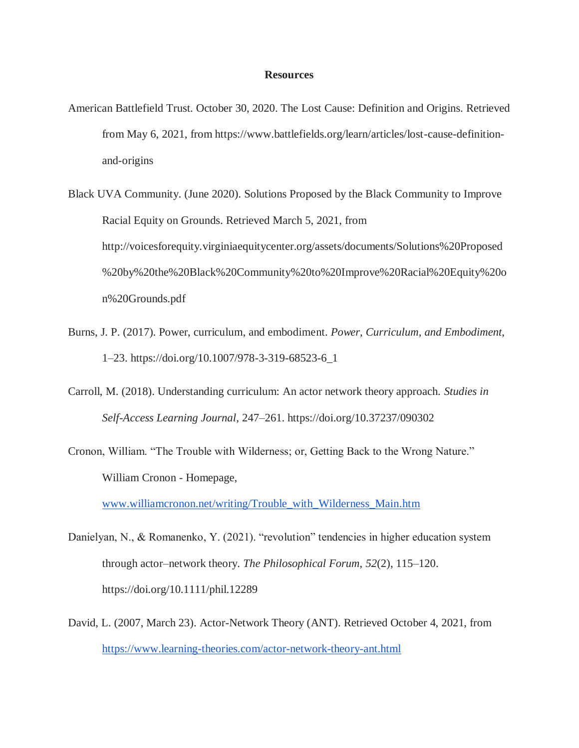#### **Resources**

- American Battlefield Trust. October 30, 2020. The Lost Cause: Definition and Origins. Retrieved from May 6, 2021, from https://www.battlefields.org/learn/articles/lost-cause-definitionand-origins
- Black UVA Community. (June 2020). Solutions Proposed by the Black Community to Improve Racial Equity on Grounds. Retrieved March 5, 2021, from http://voicesforequity.virginiaequitycenter.org/assets/documents/Solutions%20Proposed %20by%20the%20Black%20Community%20to%20Improve%20Racial%20Equity%20o n%20Grounds.pdf
- Burns, J. P. (2017). Power, curriculum, and embodiment. *Power, Curriculum, and Embodiment*, 1–23. https://doi.org/10.1007/978-3-319-68523-6\_1
- Carroll, M. (2018). Understanding curriculum: An actor network theory approach. *Studies in Self-Access Learning Journal*, 247–261. https://doi.org/10.37237/090302
- Cronon, William. "The Trouble with Wilderness; or, Getting Back to the Wrong Nature." William Cronon - Homepage,

[www.williamcronon.net/writing/Trouble\\_with\\_Wilderness\\_Main.htm](http://www.williamcronon.net/writing/Trouble_with_Wilderness_Main.htm)

- Danielyan, N., & Romanenko, Y. (2021). "revolution" tendencies in higher education system through actor–network theory. *The Philosophical Forum*, *52*(2), 115–120. https://doi.org/10.1111/phil.12289
- David, L. (2007, March 23). Actor-Network Theory (ANT). Retrieved October 4, 2021, from <https://www.learning-theories.com/actor-network-theory-ant.html>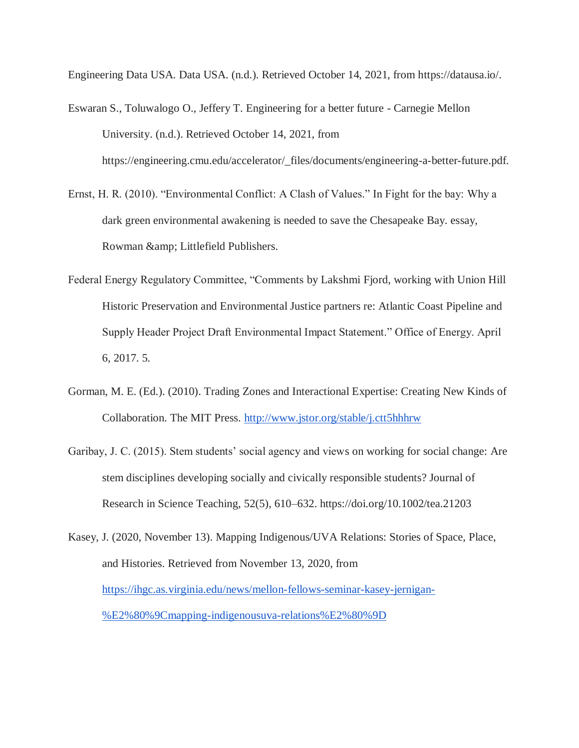Engineering Data USA. Data USA. (n.d.). Retrieved October 14, 2021, from https://datausa.io/.

- Eswaran S., Toluwalogo O., Jeffery T. Engineering for a better future Carnegie Mellon University. (n.d.). Retrieved October 14, 2021, from https://engineering.cmu.edu/accelerator/\_files/documents/engineering-a-better-future.pdf.
- Ernst, H. R. (2010). "Environmental Conflict: A Clash of Values." In Fight for the bay: Why a dark green environmental awakening is needed to save the Chesapeake Bay. essay, Rowman & amp; Littlefield Publishers.
- Federal Energy Regulatory Committee, "Comments by Lakshmi Fjord, working with Union Hill Historic Preservation and Environmental Justice partners re: Atlantic Coast Pipeline and Supply Header Project Draft Environmental Impact Statement." Office of Energy. April 6, 2017. 5.
- Gorman, M. E. (Ed.). (2010). Trading Zones and Interactional Expertise: Creating New Kinds of Collaboration. The MIT Press.<http://www.jstor.org/stable/j.ctt5hhhrw>
- Garibay, J. C. (2015). Stem students' social agency and views on working for social change: Are stem disciplines developing socially and civically responsible students? Journal of Research in Science Teaching, 52(5), 610–632. https://doi.org/10.1002/tea.21203
- Kasey, J. (2020, November 13). Mapping Indigenous/UVA Relations: Stories of Space, Place, and Histories. Retrieved from November 13, 2020, from [https://ihgc.as.virginia.edu/news/mellon-fellows-seminar-kasey-jernigan-](https://ihgc.as.virginia.edu/news/mellon-fellows-seminar-kasey-jernigan-%E2%80%9Cmapping-indigenousuva-relations%E2%80%9D) [%E2%80%9Cmapping-indigenousuva-relations%E2%80%9D](https://ihgc.as.virginia.edu/news/mellon-fellows-seminar-kasey-jernigan-%E2%80%9Cmapping-indigenousuva-relations%E2%80%9D)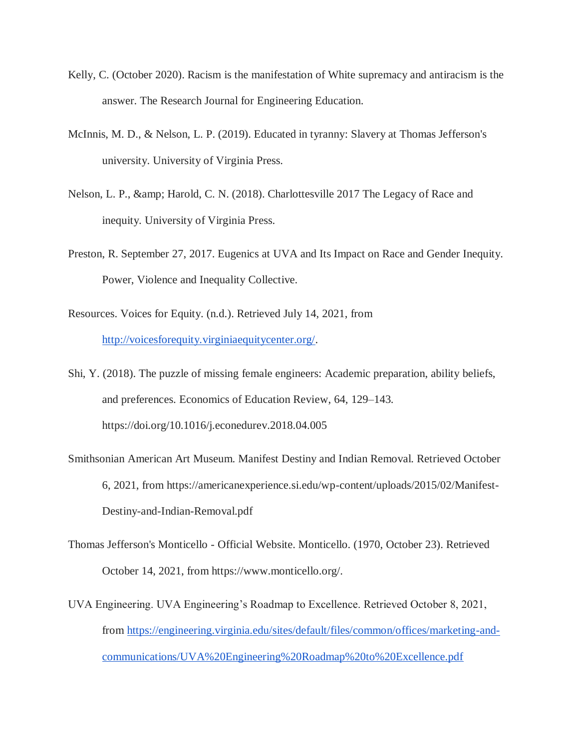- Kelly, C. (October 2020). Racism is the manifestation of White supremacy and antiracism is the answer. The Research Journal for Engineering Education.
- McInnis, M. D., & Nelson, L. P. (2019). Educated in tyranny: Slavery at Thomas Jefferson's university. University of Virginia Press.
- Nelson, L. P., & amp; Harold, C. N. (2018). Charlottesville 2017 The Legacy of Race and inequity. University of Virginia Press.
- Preston, R. September 27, 2017. Eugenics at UVA and Its Impact on Race and Gender Inequity. Power, Violence and Inequality Collective.
- Resources. Voices for Equity. (n.d.). Retrieved July 14, 2021, from [http://voicesforequity.virginiaequitycenter.org/.](http://voicesforequity.virginiaequitycenter.org/)
- Shi, Y. (2018). The puzzle of missing female engineers: Academic preparation, ability beliefs, and preferences. Economics of Education Review, 64, 129–143. https://doi.org/10.1016/j.econedurev.2018.04.005
- Smithsonian American Art Museum. Manifest Destiny and Indian Removal. Retrieved October 6, 2021, from https://americanexperience.si.edu/wp-content/uploads/2015/02/Manifest-Destiny-and-Indian-Removal.pdf
- Thomas Jefferson's Monticello Official Website. Monticello. (1970, October 23). Retrieved October 14, 2021, from https://www.monticello.org/.
- UVA Engineering. UVA Engineering's Roadmap to Excellence. Retrieved October 8, 2021, from [https://engineering.virginia.edu/sites/default/files/common/offices/marketing-and](https://engineering.virginia.edu/sites/default/files/common/offices/marketing-and-communications/UVA%20Engineering%20Roadmap%20to%20Excellence.pdf)[communications/UVA%20Engineering%20Roadmap%20to%20Excellence.pdf](https://engineering.virginia.edu/sites/default/files/common/offices/marketing-and-communications/UVA%20Engineering%20Roadmap%20to%20Excellence.pdf)